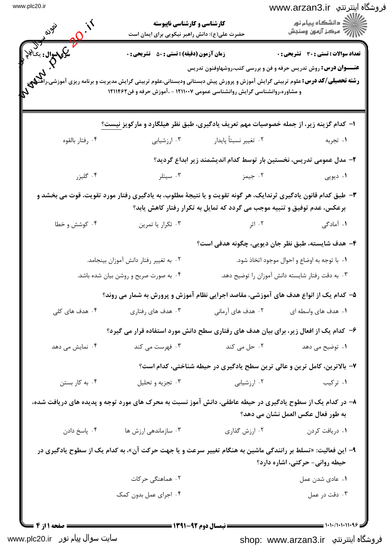| www.plc20.ir |  |  |  |
|--------------|--|--|--|
|--------------|--|--|--|

| www.plc20.ir                 | <b>کارشناسی و کارشناسی ناپیوسته</b><br>حضرت علی(ع): دانش راهبر نیکویی برای ایمان است<br><b>زمان آزمون (دقیقه) : تستی : 50 ٪ تشریحی : 0</b><br><b>رشته تحصیلی/گد درس:</b> علوم تربیتی گرایش آموزش و پرورش پیش دبستانی ودبستانی،علوم تربیتی گرایش مدیریت و برنامه ریزی آموزش <b>.</b><br>و مشاوره،روانشناسی گرایش روانشناسی عمومی ۱۲۱۱۰۰۷ - ،آموزش حرفه و فن۱۲۱۱۴۶۲ |                                                                          | فروشگاه اینترنتي  www.arzan3.ir<br>≦ دانشگاه پیام نو <b>ر</b><br>رِ ۖ مرڪز آزمون وسنڊش                                 |
|------------------------------|-------------------------------------------------------------------------------------------------------------------------------------------------------------------------------------------------------------------------------------------------------------------------------------------------------------------------------------------------------------------|--------------------------------------------------------------------------|------------------------------------------------------------------------------------------------------------------------|
| سكى سوال: يك <sup>نن</sup> ج |                                                                                                                                                                                                                                                                                                                                                                   |                                                                          | <b>تعداد سوالات : تستی : 30 ٪ تشریحی : 0</b><br><b>عنــــوان درس:</b> روش تدریس حرفه و فن و بررسی کتب،روشهاوفنون تدریس |
|                              | ۱– کدام گزینه زیر، از جمله خصوصیات مهم تعریف یادگیری، طبق نظر هیلگارد و مارکویز نیست؟                                                                                                                                                                                                                                                                             |                                                                          |                                                                                                                        |
| ۰۴ رفتار بالقوه              | ۰۳ ارزشیابی                                                                                                                                                                                                                                                                                                                                                       | ۰۲ تغيير نسبتاً پايدار                                                   | ۰۱ تجربه                                                                                                               |
|                              |                                                                                                                                                                                                                                                                                                                                                                   |                                                                          | ۲– مدل عمومی تدریس، نخستین بار توسط کدام اندیشمند زیر ابداع گردید؟                                                     |
| ۰۴ گليزر                     | ۰۳ سیتلر                                                                                                                                                                                                                                                                                                                                                          | ۰۲ جیمز                                                                  | ۰۱ دیویی                                                                                                               |
|                              | ۳- طبق کدام قانون یادگیری ثرندایک، هر گونه تقویت و یا نتیجهٔ مطلوب، به یادگیری رفتار مورد تقویت، قوت می بخشد و                                                                                                                                                                                                                                                    | برعکس، عدم توفیق و تنبیه موجب می گردد که تمایل به تکرار رفتار کاهش یابد؟ |                                                                                                                        |
| ۰۴ کوشش و خطا                | ۰۳ تکرار یا تمرین                                                                                                                                                                                                                                                                                                                                                 | ۰۲ اثر                                                                   | ۰۱ آمادگی                                                                                                              |
|                              |                                                                                                                                                                                                                                                                                                                                                                   |                                                                          | ۴- هدف شایسته، طبق نظر جان دیویی، چگونه هدفی است؟                                                                      |
|                              | ۰۲ به تغییر رفتار دانش آموزان بینجامد.                                                                                                                                                                                                                                                                                                                            |                                                                          | ۰۱ با توجه به اوضاع و احوال موجود اتخاذ شود.                                                                           |
|                              | ۰۴ به صورت صریح و روشن بیان شده باشد.                                                                                                                                                                                                                                                                                                                             |                                                                          | ۰۳ به دقت رفتار شایسته دانش آموزان را توضیح دهد.                                                                       |
|                              | ۵– کدام یک از انواع هدف های آموزشی، مقاصد اجرایی نظام آموزش و پرورش به شمار می روند؟                                                                                                                                                                                                                                                                              |                                                                          |                                                                                                                        |
| ۰۴ هدف های کلی               | ۰۳ هدف های رفتاری                                                                                                                                                                                                                                                                                                                                                 | ۲.  هدف های آرمانی                                                       | ۰۱ هدف های واسطه ای                                                                                                    |
|                              | ۶– کدام یک از افعال زیر، برای بیان هدف های رفتاری سطح دانش مورد استفاده قرار می گیرد؟                                                                                                                                                                                                                                                                             |                                                                          |                                                                                                                        |
| ۰۴ نمایش می دهد              | ۰۳ فهرست می کند                                                                                                                                                                                                                                                                                                                                                   | ۰۲ حل می کند                                                             | ۰۱ توضیح می دهد                                                                                                        |
|                              |                                                                                                                                                                                                                                                                                                                                                                   |                                                                          | ۷- بالاترین، کامل ترین و عالی ترین سطح یادگیری در حیطه شناختی، کدام است؟                                               |
| ۰۴ به کار بستن               | ۰۳ تجزیه و تحلیل                                                                                                                                                                                                                                                                                                                                                  | ۰۲ ارزشیابی                                                              | ۰۱ ترکیب                                                                                                               |
|                              | ۸– در کدام یک از سطوح یادگیری در حیطه عاطفی، دانش آموز نسبت به محرک های مورد توجه و پدیده های دریافت شده،                                                                                                                                                                                                                                                         |                                                                          | به طور فعال عکس العمل نشان می دهد؟                                                                                     |
| ۰۴ پاسخ دادن                 | ۰۳ سازماندهی ارزش ها                                                                                                                                                                                                                                                                                                                                              | ۰۲ ارزش گذاری                                                            | ۰۱ دریافت کردن                                                                                                         |
|                              | ۹– این فعالیت: «تسلط بر رانندگی ماشین به هنگام تغییر سرعت و یا جهت حرکت آن»، به کدام یک از سطوح یادگیری در                                                                                                                                                                                                                                                        |                                                                          | حیطه روانی- حرکتی، اشاره دارد؟                                                                                         |
|                              | ۰۲ هماهنگی حرکات                                                                                                                                                                                                                                                                                                                                                  |                                                                          | ۰۱ عادی شدن عمل                                                                                                        |
|                              | ۰۴ اجرای عمل بدون کمک                                                                                                                                                                                                                                                                                                                                             |                                                                          | ۰۳ دقت در عمل                                                                                                          |

سایت سوال پیام نور www.plc20.ir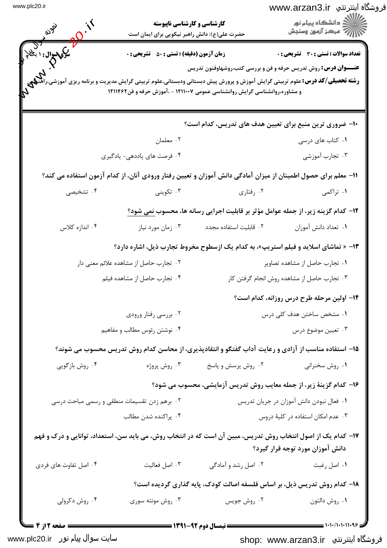| <b>يکې سوال :</b> ۱ ي <sup>ن</sup> | حضرت علی(ع): دانش راهبر نیکویی برای ایمان است<br><b>زمان آزمون (دقیقه) : تستی : 50 ٪ تشریحی : 0</b> |                                                                                                                                                                                                                                                                                      | <b>تعداد سوالات : تستی : 30 ٪ تشریحی : 0</b> |
|------------------------------------|-----------------------------------------------------------------------------------------------------|--------------------------------------------------------------------------------------------------------------------------------------------------------------------------------------------------------------------------------------------------------------------------------------|----------------------------------------------|
|                                    |                                                                                                     | <b>عنــــوان درس:</b> روش تدریس حرفه و فن و بررسی کتب،روشهاوفنون تدریس<br><b>رشته تحصیلی/گد درس:</b> علوم تربیتی گرایش آموزش و پرورش پیش دبستانی ودبستانی،علوم تربیتی گرایش مدیریت و برنامه ریزی آموزش<br>و مشاوره،روانشناسی گرایش روانشناسی عمومی ۱۲۱۱۰۰۷ - ،آموزش حرفه و فن۱۲۱۱۴۶۲ |                                              |
|                                    |                                                                                                     | ۱۰– ضروری ترین منبع برای تعیین هدف های تدریس، کدام است؟                                                                                                                                                                                                                              |                                              |
|                                    | ۰۲ معلمان                                                                                           |                                                                                                                                                                                                                                                                                      | ۰۱ کتاب های درسی                             |
|                                    | ۰۴ فرصت های یاددهی- یادگیری                                                                         |                                                                                                                                                                                                                                                                                      | ۰۳ تجارب آموزشی                              |
|                                    |                                                                                                     | 1۱– معلم برای حصول اطمینان از میزان آمادگی دانش آموزان و تعیین رفتار ورودی آنان، از کدام آزمون استفاده می کند؟                                                                                                                                                                       |                                              |
| ۰۴ تشخیصی                          | ۰۳ تکوینی                                                                                           | ۰۲ رفتاری                                                                                                                                                                                                                                                                            | ۰۱ تراکمی                                    |
|                                    |                                                                                                     | ۱۲- کدام گزینه زیر، از جمله عوامل مؤثر بر قابلیت اجرایی رسانه ها، محسوب نمی شود؟                                                                                                                                                                                                     |                                              |
| ۰۴ اندازه کلاس                     | ۰۳ زمان مورد نیاز                                                                                   | ٠٢ قابليت استفاده مجدد                                                                                                                                                                                                                                                               | ٠١ تعداد دانش آموزان                         |
|                                    |                                                                                                     | ۱۳- « تماشای اسلاید و فیلم استریپ»، به کدام یک ازسطوح مخروط تجارب ذیل، اشاره دارد؟                                                                                                                                                                                                   |                                              |
|                                    | ۰۲ تجارب حاصل از مشاهده علائم معنى دار                                                              |                                                                                                                                                                                                                                                                                      | ۰۱ تجارب حاصل از مشاهده تصاویر               |
|                                    | ۰۴ تجارب حاصل از مشاهده فيلم                                                                        |                                                                                                                                                                                                                                                                                      | ۰۳ تجارب حاصل از مشاهده روش انجام گرفتن کار  |
|                                    |                                                                                                     |                                                                                                                                                                                                                                                                                      | ۱۴– اولین مرحله طرح درس روزانه، کدام است؟    |
|                                    | ۰۲ بررسی رفتار ورودی                                                                                |                                                                                                                                                                                                                                                                                      | ۰۱ مشخص ساختن هدف کلی درس                    |
|                                    | ۰۴ نوشتن رئوس مطالب و مفاهیم                                                                        |                                                                                                                                                                                                                                                                                      | ۰۳ تعیین موضوع درس                           |
|                                    |                                                                                                     | ۱۵– استفاده مناسب از آزادی و رعایت آداب گفتگو و انتقادپذیری، از محاسن کدام روش تدریس محسوب می شوند؟                                                                                                                                                                                  |                                              |
| ۰۴ روش بازگویی                     | ۰۳ روش پروژه                                                                                        | ۰۲ روش پرسش و پاسخ                                                                                                                                                                                                                                                                   | ۰۱ روش سخنرانی                               |
|                                    |                                                                                                     | ۱۶- کدام گزینهٔ زیر، از جمله معایب روش تدریس آزمایشی، محسوب می شود؟                                                                                                                                                                                                                  |                                              |
|                                    | ۰۲ برهم زدن تقسیمات منطقی و رسمی مباحث درسی                                                         |                                                                                                                                                                                                                                                                                      | ٠١ فعال نبودن دانش آموزان در جريان تدريس     |
|                                    | ۰۴ پراکنده شدن مطالب                                                                                |                                                                                                                                                                                                                                                                                      | ۰۳ عدم امکان استفاده در کلیهٔ دروس           |
|                                    |                                                                                                     | ۱۷– کدام یک از اصول انتخاب روش تدریس، مبین آن است که در انتخاب روش، می باید سن، استعداد، توانایی و درک و فهم                                                                                                                                                                         | دانش آموزان مورد توجه قرار گیرد؟             |
| ۰۴ اصل تفاوت های فردی              | ۰۳ اصل فعاليت                                                                                       | ۰۲ اصل رشد و آمادگی                                                                                                                                                                                                                                                                  | ۰۱ اصل رغبت                                  |
|                                    |                                                                                                     | ۱۸- کدام روش تدریس ذیل، بر اساس فلسفه اصالت کودک، پایه گذاری گردیده است؟                                                                                                                                                                                                             |                                              |
| ۰۴ روش دکرولی                      | ۰۳ روش مونته سوری                                                                                   | ۰۲ روش جويس                                                                                                                                                                                                                                                                          | ۰۱ روش دالتون                                |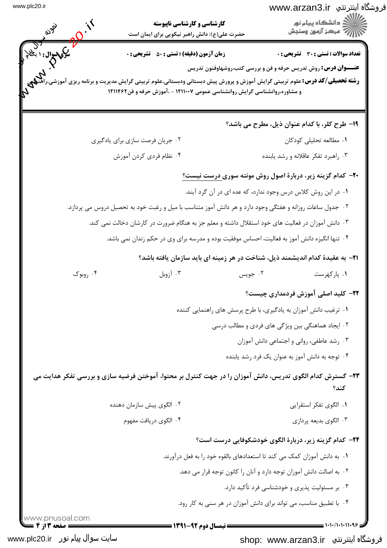|                                   | <b>کارشناسی و کارشناسی ناپیوسته</b><br>حضرت علی(ع): دانش راهبر نیکویی برای ایمان است                                                                                                                                                                              |         | فروشگاه اینترنتي  www.arzan3.ir<br>≦ دانشگاه پیام نو <b>ر</b><br>رِ ۖ مرڪز آزمون وسنڊش                          |
|-----------------------------------|-------------------------------------------------------------------------------------------------------------------------------------------------------------------------------------------------------------------------------------------------------------------|---------|-----------------------------------------------------------------------------------------------------------------|
| ليکې سوال : ۱ ي <sup>خ</sup><br>7 | <b>زمان آزمون (دقیقه) : تستی : 50 ٪ تشریحی : 0</b><br><b>رشته تحصیلی/کد درس:</b> علوم تربیتی گرایش آموزش و پرورش پیش دبستانی ودبستانی،علوم تربیتی گرایش مدیریت و برنامه ریزی آموزشی<br>و مشاوره،روانشناسی گرایش روانشناسی عمومی ۱۲۱۱۰۰۷ - ،آموزش حرفه و فن۱۲۱۱۴۶۲ |         | تعداد سوالات : تستي : 30 ٪ تشريحي : 0<br><b>عنــــوان درس:</b> روش تدریس حرفه و فن و بررسی کتب،روشهاوفنون تدریس |
|                                   |                                                                                                                                                                                                                                                                   |         | 19- طرح کلر، با کدام عنوان ذیل، مطرح می باشد؟                                                                   |
|                                   | ۰۲ جریان فرصت سازی برای یادگیری                                                                                                                                                                                                                                   |         | ٠١. مطالعه تحليلي كودكان                                                                                        |
|                                   | ۰۴ نظام فردي كردن آموزش                                                                                                                                                                                                                                           |         | ۰۳ راهبرد تفکر عاقلانه و رشد یابنده                                                                             |
|                                   |                                                                                                                                                                                                                                                                   |         | <b>۴۰</b> - کدام گزینه زیر، دربارهٔ اصول روش مونته سوری <u>درست نیست؟</u>                                       |
|                                   |                                                                                                                                                                                                                                                                   |         | ۰۱ در این روش کلاس درس وجود ندارد، که عده ای در آن گرد آیند.                                                    |
|                                   | ۲ . جدول ساعات روزانه و هفتگی وجود دارد و هر دانش آموز متناسب با میل و رغبت خود به تحصیل دروس می پردازد.                                                                                                                                                          |         |                                                                                                                 |
|                                   | ۰۳ دانش آموزان در فعالیت های خود استقلال داشته و معلم جز به هنگام ضرورت در کارشان دخالت نمی کند.                                                                                                                                                                  |         |                                                                                                                 |
|                                   | ۰۴ تنها انگیزه دانش آموز به فعالیت، احساس موفقیت بوده و مدرسه برای وی در حکم زندان نمی باشد.                                                                                                                                                                      |         |                                                                                                                 |
|                                   | <b>۲۱</b> - به عقیدهٔ کدام اندیشمند ذیل، شناخت در هر زمینه ای باید سازمان یافته باشد؟                                                                                                                                                                             |         |                                                                                                                 |
| ۰۴ روبوک                          | ۰۳ آزوبل                                                                                                                                                                                                                                                          | ۰۲ جويس | ۰۱ پارکهرست                                                                                                     |
|                                   |                                                                                                                                                                                                                                                                   |         | <b>۲۲</b> – کلید اصلی آموزش فردمداری چیست؟                                                                      |
|                                   |                                                                                                                                                                                                                                                                   |         | ۰۱ ترغیب دانش آموزان به یادگیری، با طرح پرسش های راهنمایی کننده                                                 |
|                                   |                                                                                                                                                                                                                                                                   |         | ۰۲ ایجاد هماهنگی بین ویژگی های فردی و مطالب درسی                                                                |
|                                   |                                                                                                                                                                                                                                                                   |         | ۰۳ رشد عاطفی، روانی و اجتماعی دانش آموزان                                                                       |
|                                   |                                                                                                                                                                                                                                                                   |         | ۰۴ توجه به دانش آموز به عنوان یک فرد رشد یابنده                                                                 |
|                                   | ۲۳- گسترش کدام الگوی تدریس، دانش آموزان را در جهت کنترل بر محتوا، آموختن فرضیه سازی و بررسی تفکر هدایت می                                                                                                                                                         |         | كند؟                                                                                                            |
|                                   | ۰۲ الگوی پیش سازمان دهنده                                                                                                                                                                                                                                         |         | ۰۱ الگوی تفکر استقرایی                                                                                          |
|                                   | ۰۴ الگوی دریافت مفهوم                                                                                                                                                                                                                                             |         | ۰۳ الگوي بديعه پردازي                                                                                           |
|                                   |                                                                                                                                                                                                                                                                   |         | ۲۴− کدام گزینه زیر، دربارهٔ الگوی خودشکوفایی درست است؟                                                          |
|                                   |                                                                                                                                                                                                                                                                   |         | ۰۱ به دانش آموزان کمک می کند تا استعدادهای بالقوه خود را به فعل درآورند.                                        |
|                                   |                                                                                                                                                                                                                                                                   |         | ۰۲ به اصالت دانش آموزان توجه دارد و آنان را کانون توجه قرار می دهد.                                             |
|                                   |                                                                                                                                                                                                                                                                   |         | ۰۳ بر مسئولیت پذیری و خودشناسی فرد تأکید دارد.                                                                  |
|                                   |                                                                                                                                                                                                                                                                   |         |                                                                                                                 |

سایت سوال پیام نور www.plc20.ir

shop: www.arzan3.ir فروشگاه اینترنتي